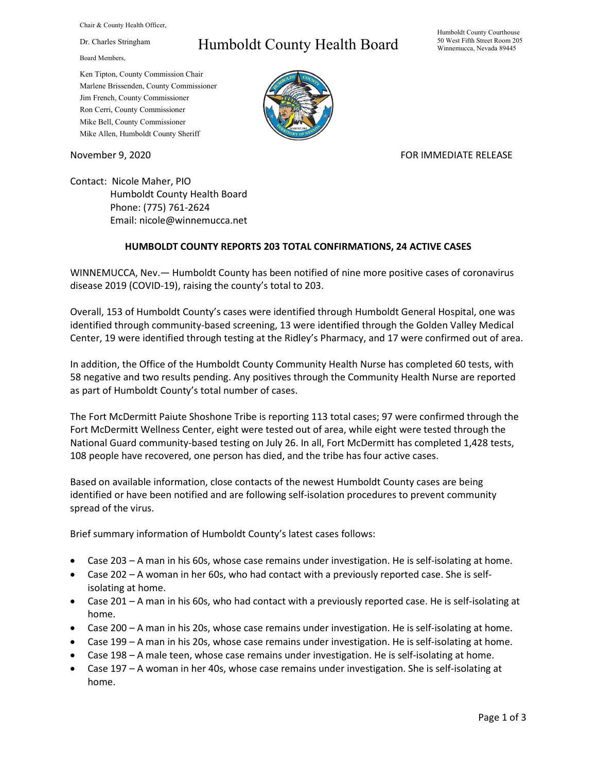Chair & County Health Officer,

Dr. Charles Stringham

Board Members,

## Humboldt County Health Board

Humboldt County Courthouse 50 West Fifth Street Room 205 Winnemucca, Nevada 89445

Ken Tipton, County Commission Chair Marlene Brissenden, County Commissioner Jim French, County Commissioner Ron Cerri, County Commissioner Mike Bell, County Commissioner Mike Allen, Humboldt County Sheriff

November 9, 2020 FOR IMMEDIATE RELEASE

Contact: Nicole Maher, PIO Humboldt County Health Board Phone: (775) 761-2624 Email: nicole@winnemucca.net

## **HUMBOLDT COUNTY REPORTS 203 TOTAL CONFIRMATIONS, 24 ACTIVE CASES**

WINNEMUCCA, Nev.— Humboldt County has been notified of nine more positive cases of coronavirus disease 2019 (COVID-19), raising the county's total to 203.

Overall, 153 of Humboldt County's cases were identified through Humboldt General Hospital, one was identified through community-based screening, 13 were identified through the Golden Valley Medical Center, 19 were identified through testing at the Ridley's Pharmacy, and 17 were confirmed out of area.

In addition, the Office of the Humboldt County Community Health Nurse has completed 60 tests, with 58 negative and two results pending. Any positives through the Community Health Nurse are reported as part of Humboldt County's total number of cases.

The Fort McDermitt Paiute Shoshone Tribe is reporting 113 total cases; 97 were confirmed through the Fort McDermitt Wellness Center, eight were tested out of area, while eight were tested through the National Guard community-based testing on July 26. In all, Fort McDermitt has completed 1,428 tests, 108 people have recovered, one person has died, and the tribe has four active cases.

Based on available information, close contacts of the newest Humboldt County cases are being identified or have been notified and are following self-isolation procedures to prevent community spread of the virus.

Brief summary information of Humboldt County's latest cases follows:

- Case 203 A man in his 60s, whose case remains under investigation. He is self-isolating at home.
- Case 202 A woman in her 60s, who had contact with a previously reported case. She is selfisolating at home.
- Case 201 A man in his 60s, who had contact with a previously reported case. He is self-isolating at home.
- Case 200 A man in his 20s, whose case remains under investigation. He is self-isolating at home.
- Case 199 A man in his 20s, whose case remains under investigation. He is self-isolating at home.
- Case 198 A male teen, whose case remains under investigation. He is self-isolating at home.
- Case 197 A woman in her 40s, whose case remains under investigation. She is self-isolating at home.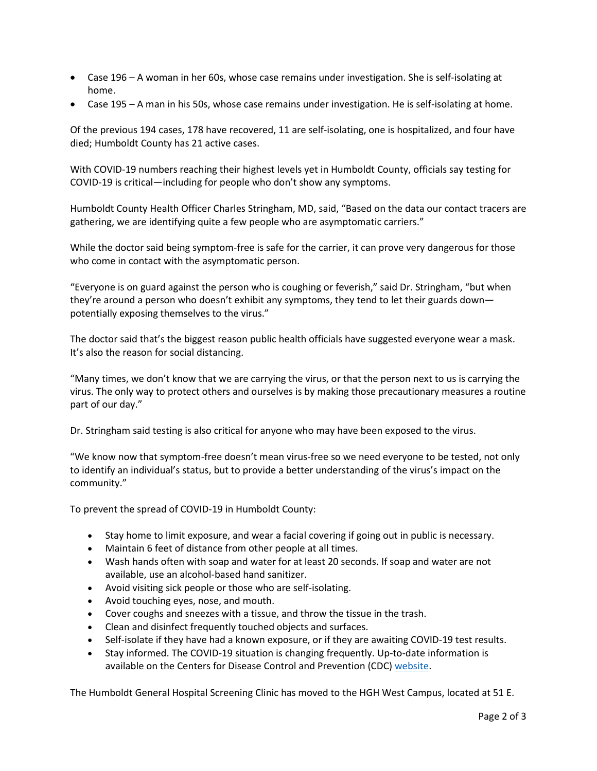- Case 196 A woman in her 60s, whose case remains under investigation. She is self-isolating at home.
- Case 195 A man in his 50s, whose case remains under investigation. He is self-isolating at home.

Of the previous 194 cases, 178 have recovered, 11 are self-isolating, one is hospitalized, and four have died; Humboldt County has 21 active cases.

With COVID-19 numbers reaching their highest levels yet in Humboldt County, officials say testing for COVID-19 is critical—including for people who don't show any symptoms.

Humboldt County Health Officer Charles Stringham, MD, said, "Based on the data our contact tracers are gathering, we are identifying quite a few people who are asymptomatic carriers."

While the doctor said being symptom-free is safe for the carrier, it can prove very dangerous for those who come in contact with the asymptomatic person.

"Everyone is on guard against the person who is coughing or feverish," said Dr. Stringham, "but when they're around a person who doesn't exhibit any symptoms, they tend to let their guards down potentially exposing themselves to the virus."

The doctor said that's the biggest reason public health officials have suggested everyone wear a mask. It's also the reason for social distancing.

"Many times, we don't know that we are carrying the virus, or that the person next to us is carrying the virus. The only way to protect others and ourselves is by making those precautionary measures a routine part of our day."

Dr. Stringham said testing is also critical for anyone who may have been exposed to the virus.

"We know now that symptom-free doesn't mean virus-free so we need everyone to be tested, not only to identify an individual's status, but to provide a better understanding of the virus's impact on the community."

To prevent the spread of COVID-19 in Humboldt County:

- Stay home to limit exposure, and wear a facial covering if going out in public is necessary.
- Maintain 6 feet of distance from other people at all times.
- Wash hands often with soap and water for at least 20 seconds. If soap and water are not available, use an alcohol-based hand sanitizer.
- Avoid visiting sick people or those who are self-isolating.
- Avoid touching eyes, nose, and mouth.
- Cover coughs and sneezes with a tissue, and throw the tissue in the trash.
- Clean and disinfect frequently touched objects and surfaces.
- Self-isolate if they have had a known exposure, or if they are awaiting COVID-19 test results.
- Stay informed. The COVID-19 situation is changing frequently. Up-to-date information is available on the Centers for Disease Control and Prevention (CDC) [website.](http://www.cdc.gov/coronavirus/2019-ncov/index.html)

The Humboldt General Hospital Screening Clinic has moved to the HGH West Campus, located at 51 E.